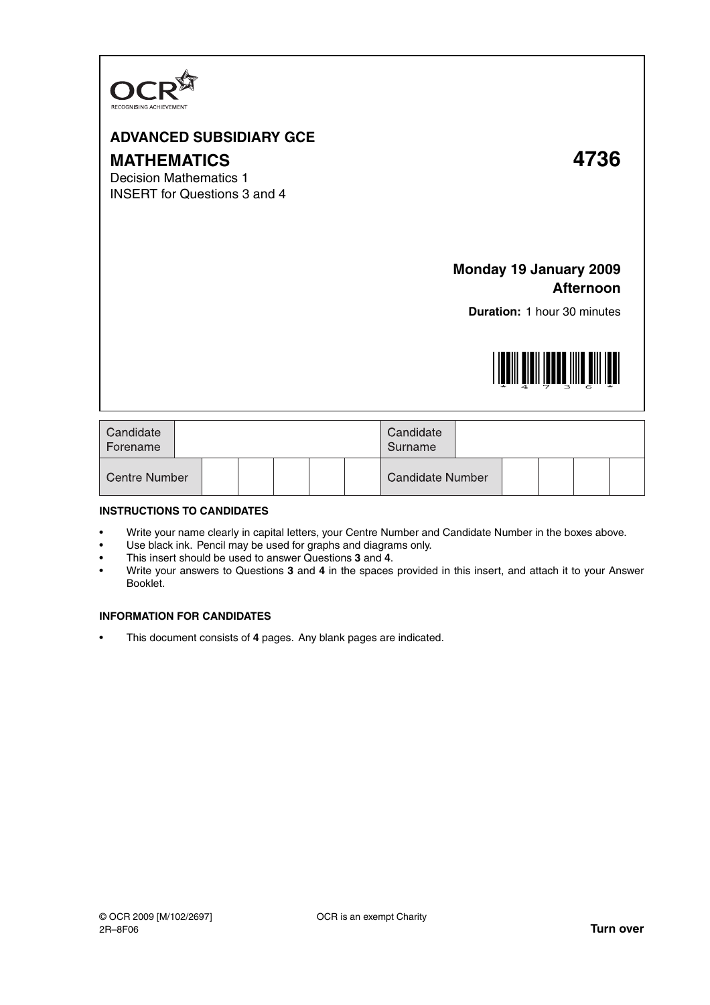

## **ADVANCED SUBSIDIARY GCE**

# **MATHEMATICS 4736**

Decision Mathematics 1 INSERT for Questions 3 and 4

### **Monday 19 January 2009 Afternoon**

**Duration:** 1 hour 30 minutes



| Candidate<br>Forename |  |  |  |  |  | Candidate<br>Surname |  |  |  |  |  |
|-----------------------|--|--|--|--|--|----------------------|--|--|--|--|--|
| <b>Centre Number</b>  |  |  |  |  |  | Candidate Number     |  |  |  |  |  |

#### **INSTRUCTIONS TO CANDIDATES**

- Write your name clearly in capital letters, your Centre Number and Candidate Number in the boxes above.
- Use black ink. Pencil may be used for graphs and diagrams only.
- This insert should be used to answer Questions **3** and **4**.
- Write your answers to Questions **3** and **4** in the spaces provided in this insert, and attach it to your Answer Booklet.

#### **INFORMATION FOR CANDIDATES**

• This document consists of **4** pages. Any blank pages are indicated.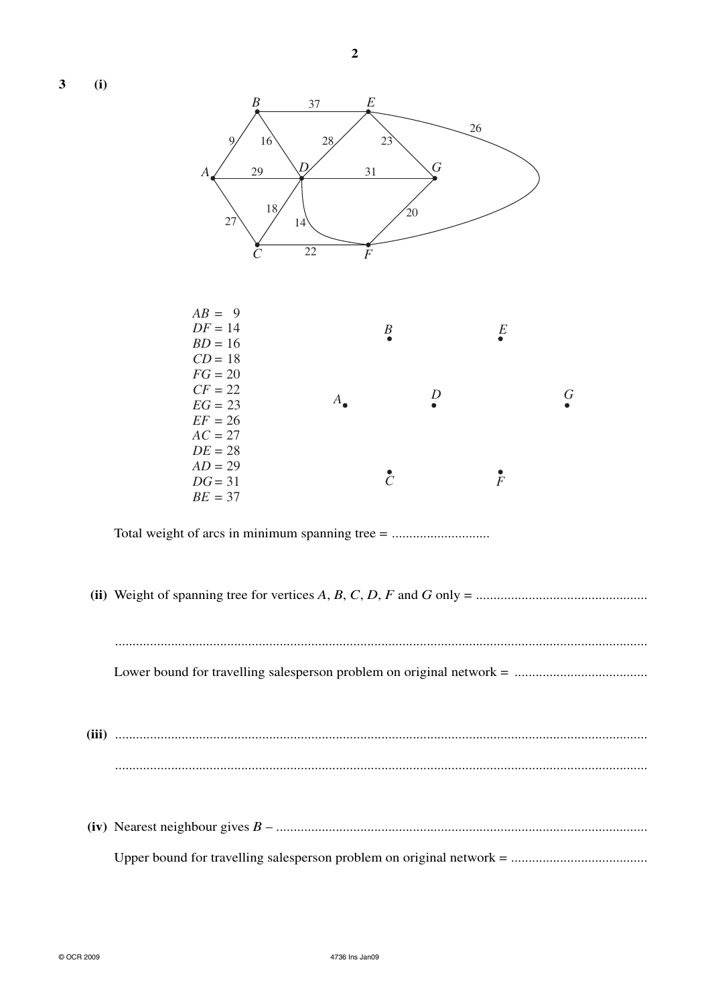**3 (i)**

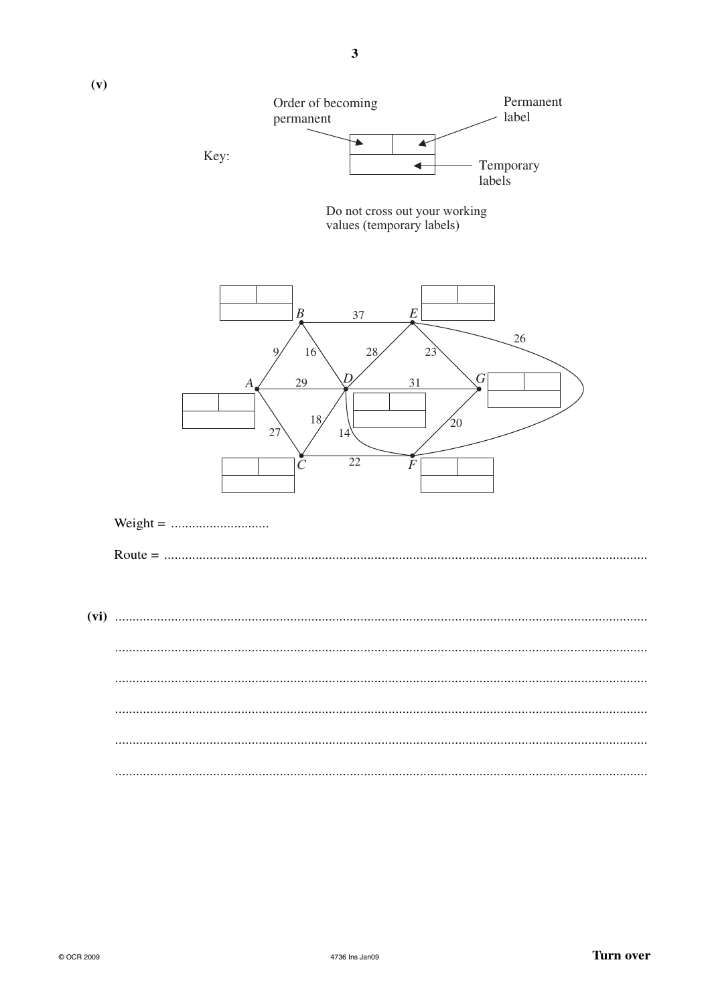